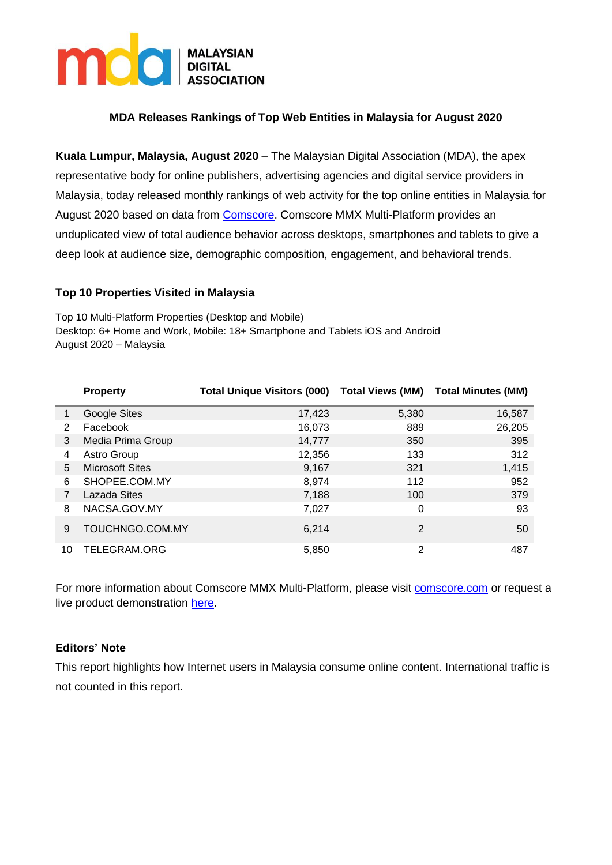

# **MDA Releases Rankings of Top Web Entities in Malaysia for August 2020**

**Kuala Lumpur, Malaysia, August 2020** – The Malaysian Digital Association (MDA), the apex representative body for online publishers, advertising agencies and digital service providers in Malaysia, today released monthly rankings of web activity for the top online entities in Malaysia for August 2020 based on data from [Comscore.](https://www.comscore.com/Products/Ratings-and-Planning) Comscore MMX Multi-Platform provides an unduplicated view of total audience behavior across desktops, smartphones and tablets to give a deep look at audience size, demographic composition, engagement, and behavioral trends.

### **Top 10 Properties Visited in Malaysia**

Top 10 Multi-Platform Properties (Desktop and Mobile) Desktop: 6+ Home and Work, Mobile: 18+ Smartphone and Tablets iOS and Android August 2020 – Malaysia

|    | <b>Property</b>        | <b>Total Unique Visitors (000)</b> | <b>Total Views (MM)</b> | <b>Total Minutes (MM)</b> |
|----|------------------------|------------------------------------|-------------------------|---------------------------|
|    | Google Sites           | 17,423                             | 5,380                   | 16,587                    |
| 2  | Facebook               | 16,073                             | 889                     | 26,205                    |
| 3  | Media Prima Group      | 14,777                             | 350                     | 395                       |
| 4  | Astro Group            | 12,356                             | 133                     | 312                       |
| 5  | <b>Microsoft Sites</b> | 9,167                              | 321                     | 1,415                     |
| 6  | SHOPEE.COM.MY          | 8,974                              | 112                     | 952                       |
|    | Lazada Sites           | 7,188                              | 100                     | 379                       |
| 8  | NACSA.GOV.MY           | 7,027                              | 0                       | 93                        |
| 9  | TOUCHNGO.COM.MY        | 6.214                              | $\overline{2}$          | 50                        |
| 10 | TELEGRAM.ORG           | 5,850                              | $\overline{2}$          | 487                       |

For more information about Comscore MMX Multi-Platform, please visit [comscore.com](https://www.comscore.com/Products/Ratings-and-Planning/Media-Ratings) or request a live product demonstration [here.](http://www.comscore.com/layout/set/popup/Request/Demos/comScore-Media-Metrix-Suite-Demo-Request)

## **Editors' Note**

This report highlights how Internet users in Malaysia consume online content. International traffic is not counted in this report.